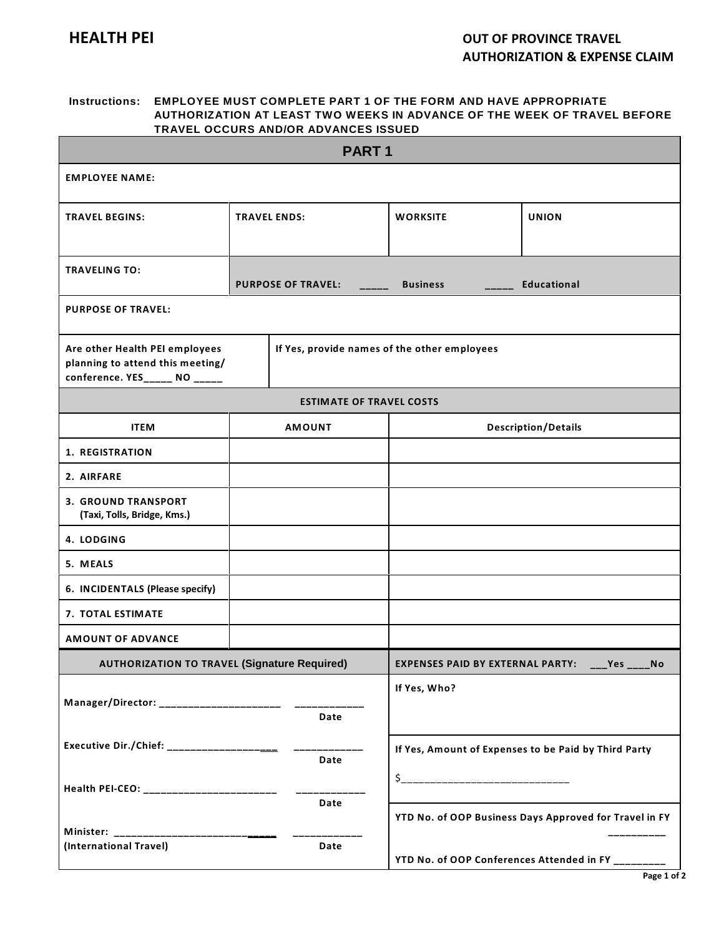## **Instructions: EMPLOYEE MUST COMPLETE PART 1 OF THE FORM AND HAVE APPROPRIATE AUTHORIZATION AT LEAST TWO WEEKS IN ADVANCE OF THE WEEK OF TRAVEL BEFORE TRAVEL OCCURS AND/OR ADVANCES ISSUED**

| PART <sub>1</sub>                                                                                   |                                              |                           |                                         |                                                                                                              |  |
|-----------------------------------------------------------------------------------------------------|----------------------------------------------|---------------------------|-----------------------------------------|--------------------------------------------------------------------------------------------------------------|--|
| <b>EMPLOYEE NAME:</b>                                                                               |                                              |                           |                                         |                                                                                                              |  |
| <b>TRAVEL BEGINS:</b>                                                                               | <b>TRAVEL ENDS:</b>                          |                           | <b>WORKSITE</b>                         | <b>UNION</b>                                                                                                 |  |
| <b>TRAVELING TO:</b>                                                                                |                                              | <b>PURPOSE OF TRAVEL:</b> | <b>Business</b>                         | <b>Educational</b>                                                                                           |  |
| <b>PURPOSE OF TRAVEL:</b>                                                                           |                                              |                           |                                         |                                                                                                              |  |
| Are other Health PEI employees<br>planning to attend this meeting/<br>conference. YES_____ NO _____ | If Yes, provide names of the other employees |                           |                                         |                                                                                                              |  |
| <b>ESTIMATE OF TRAVEL COSTS</b>                                                                     |                                              |                           |                                         |                                                                                                              |  |
| <b>ITEM</b>                                                                                         |                                              | <b>AMOUNT</b>             | <b>Description/Details</b>              |                                                                                                              |  |
| <b>1. REGISTRATION</b>                                                                              |                                              |                           |                                         |                                                                                                              |  |
| 2. AIRFARE                                                                                          |                                              |                           |                                         |                                                                                                              |  |
| <b>3. GROUND TRANSPORT</b><br>(Taxi, Tolls, Bridge, Kms.)                                           |                                              |                           |                                         |                                                                                                              |  |
| 4. LODGING                                                                                          |                                              |                           |                                         |                                                                                                              |  |
| 5. MEALS                                                                                            |                                              |                           |                                         |                                                                                                              |  |
| 6. INCIDENTALS (Please specify)                                                                     |                                              |                           |                                         |                                                                                                              |  |
| 7. TOTAL ESTIMATE                                                                                   |                                              |                           |                                         |                                                                                                              |  |
| <b>AMOUNT OF ADVANCE</b>                                                                            |                                              |                           |                                         |                                                                                                              |  |
| <b>AUTHORIZATION TO TRAVEL (Signature Required)</b>                                                 |                                              |                           | <b>EXPENSES PAID BY EXTERNAL PARTY:</b> | Yes<br>No.                                                                                                   |  |
| Manager/Director: ______________________ ___<br>Date                                                |                                              |                           | If Yes, Who?                            |                                                                                                              |  |
| Executive Dir./Chief: ____________________<br>Date                                                  |                                              |                           |                                         | If Yes, Amount of Expenses to be Paid by Third Party                                                         |  |
| Health PEI-CEO: _________________________<br>Date                                                   |                                              |                           |                                         |                                                                                                              |  |
| (International Travel)<br>Date                                                                      |                                              |                           |                                         | YTD No. of OOP Business Days Approved for Travel in FY<br>YTD No. of OOP Conferences Attended in FY ________ |  |